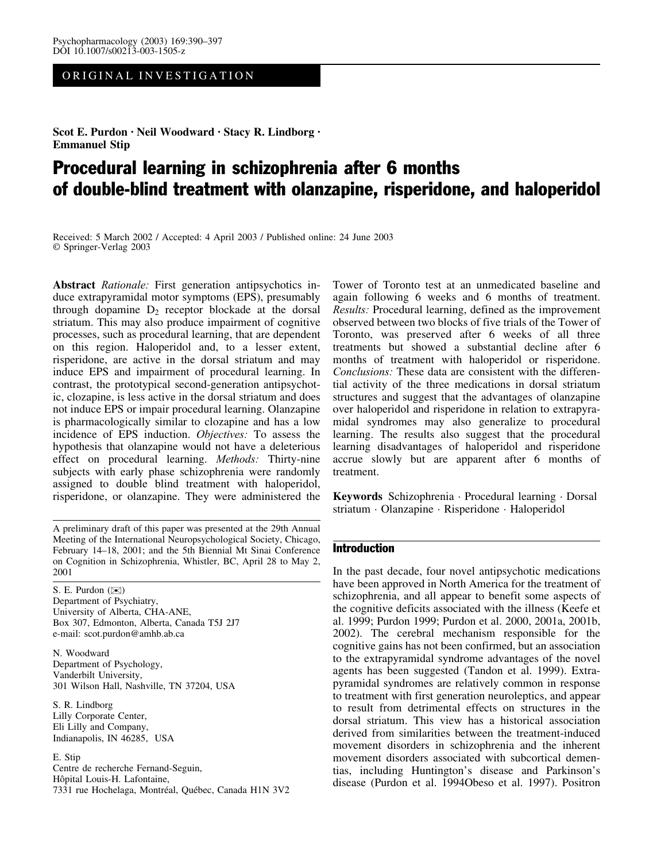# ORIGINAL INVESTIGATION

Scot E. Purdon · Neil Woodward · Stacy R. Lindborg · Emmanuel Stip

# Procedural learning in schizophrenia after 6 months of double-blind treatment with olanzapine, risperidone, and haloperidol

Received: 5 March 2002 / Accepted: 4 April 2003 / Published online: 24 June 2003 Springer-Verlag 2003

Abstract Rationale: First generation antipsychotics induce extrapyramidal motor symptoms (EPS), presumably through dopamine  $D_2$  receptor blockade at the dorsal striatum. This may also produce impairment of cognitive processes, such as procedural learning, that are dependent on this region. Haloperidol and, to a lesser extent, risperidone, are active in the dorsal striatum and may induce EPS and impairment of procedural learning. In contrast, the prototypical second-generation antipsychotic, clozapine, is less active in the dorsal striatum and does not induce EPS or impair procedural learning. Olanzapine is pharmacologically similar to clozapine and has a low incidence of EPS induction. Objectives: To assess the hypothesis that olanzapine would not have a deleterious effect on procedural learning. Methods: Thirty-nine subjects with early phase schizophrenia were randomly assigned to double blind treatment with haloperidol, risperidone, or olanzapine. They were administered the

A preliminary draft of this paper was presented at the 29th Annual Meeting of the International Neuropsychological Society, Chicago, February 14–18, 2001; and the 5th Biennial Mt Sinai Conference on Cognition in Schizophrenia, Whistler, BC, April 28 to May 2, 2001

S. E. Purdon (*)*) Department of Psychiatry, University of Alberta, CHA-ANE, Box 307, Edmonton, Alberta, Canada T5J 2J7 e-mail: scot.purdon@amhb.ab.ca

N. Woodward Department of Psychology, Vanderbilt University, 301 Wilson Hall, Nashville, TN 37204, USA

S. R. Lindborg Lilly Corporate Center, Eli Lilly and Company, Indianapolis, IN 46285, USA

E. Stip Centre de recherche Fernand-Seguin, Hôpital Louis-H. Lafontaine, 7331 rue Hochelaga, Montréal, Québec, Canada H1N 3V2

Tower of Toronto test at an unmedicated baseline and again following 6 weeks and 6 months of treatment. Results: Procedural learning, defined as the improvement observed between two blocks of five trials of the Tower of Toronto, was preserved after 6 weeks of all three treatments but showed a substantial decline after 6 months of treatment with haloperidol or risperidone. Conclusions: These data are consistent with the differential activity of the three medications in dorsal striatum structures and suggest that the advantages of olanzapine over haloperidol and risperidone in relation to extrapyramidal syndromes may also generalize to procedural learning. The results also suggest that the procedural learning disadvantages of haloperidol and risperidone accrue slowly but are apparent after 6 months of treatment.

Keywords Schizophrenia · Procedural learning · Dorsal striatum · Olanzapine · Risperidone · Haloperidol

### Introduction

In the past decade, four novel antipsychotic medications have been approved in North America for the treatment of schizophrenia, and all appear to benefit some aspects of the cognitive deficits associated with the illness (Keefe et al. 1999; Purdon 1999; Purdon et al. 2000, 2001a, 2001b, 2002). The cerebral mechanism responsible for the cognitive gains has not been confirmed, but an association to the extrapyramidal syndrome advantages of the novel agents has been suggested (Tandon et al. 1999). Extrapyramidal syndromes are relatively common in response to treatment with first generation neuroleptics, and appear to result from detrimental effects on structures in the dorsal striatum. This view has a historical association derived from similarities between the treatment-induced movement disorders in schizophrenia and the inherent movement disorders associated with subcortical dementias, including Huntington's disease and Parkinson's disease (Purdon et al. 1994Obeso et al. 1997). Positron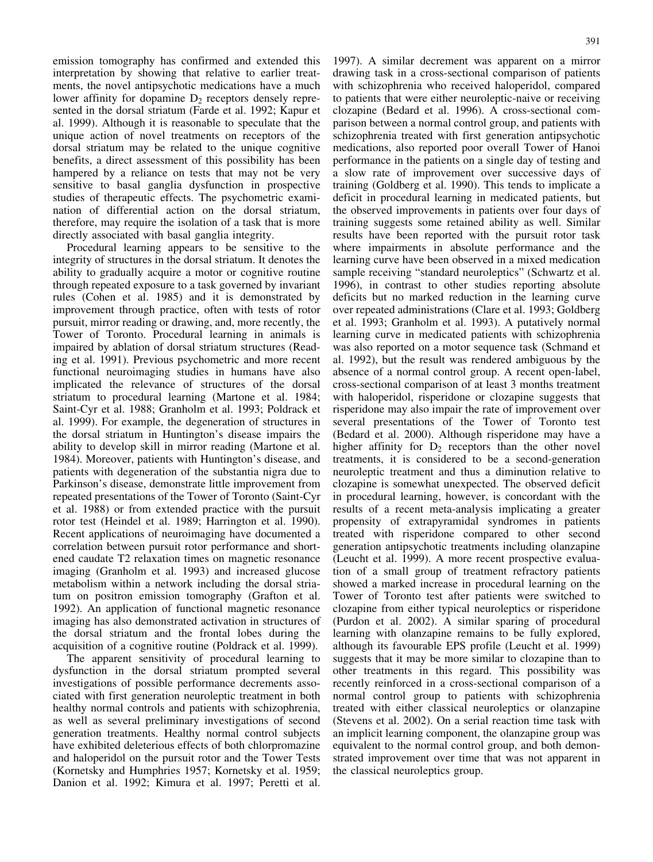emission tomography has confirmed and extended this interpretation by showing that relative to earlier treatments, the novel antipsychotic medications have a much lower affinity for dopamine  $D<sub>2</sub>$  receptors densely represented in the dorsal striatum (Farde et al. 1992; Kapur et al. 1999). Although it is reasonable to speculate that the unique action of novel treatments on receptors of the dorsal striatum may be related to the unique cognitive benefits, a direct assessment of this possibility has been hampered by a reliance on tests that may not be very sensitive to basal ganglia dysfunction in prospective studies of therapeutic effects. The psychometric examination of differential action on the dorsal striatum, therefore, may require the isolation of a task that is more directly associated with basal ganglia integrity.

Procedural learning appears to be sensitive to the integrity of structures in the dorsal striatum. It denotes the ability to gradually acquire a motor or cognitive routine through repeated exposure to a task governed by invariant rules (Cohen et al. 1985) and it is demonstrated by improvement through practice, often with tests of rotor pursuit, mirror reading or drawing, and, more recently, the Tower of Toronto. Procedural learning in animals is impaired by ablation of dorsal striatum structures (Reading et al. 1991). Previous psychometric and more recent functional neuroimaging studies in humans have also implicated the relevance of structures of the dorsal striatum to procedural learning (Martone et al. 1984; Saint-Cyr et al. 1988; Granholm et al. 1993; Poldrack et al. 1999). For example, the degeneration of structures in the dorsal striatum in Huntington's disease impairs the ability to develop skill in mirror reading (Martone et al. 1984). Moreover, patients with Huntington's disease, and patients with degeneration of the substantia nigra due to Parkinson's disease, demonstrate little improvement from repeated presentations of the Tower of Toronto (Saint-Cyr et al. 1988) or from extended practice with the pursuit rotor test (Heindel et al. 1989; Harrington et al. 1990). Recent applications of neuroimaging have documented a correlation between pursuit rotor performance and shortened caudate T2 relaxation times on magnetic resonance imaging (Granholm et al. 1993) and increased glucose metabolism within a network including the dorsal striatum on positron emission tomography (Grafton et al. 1992). An application of functional magnetic resonance imaging has also demonstrated activation in structures of the dorsal striatum and the frontal lobes during the acquisition of a cognitive routine (Poldrack et al. 1999).

The apparent sensitivity of procedural learning to dysfunction in the dorsal striatum prompted several investigations of possible performance decrements associated with first generation neuroleptic treatment in both healthy normal controls and patients with schizophrenia, as well as several preliminary investigations of second generation treatments. Healthy normal control subjects have exhibited deleterious effects of both chlorpromazine and haloperidol on the pursuit rotor and the Tower Tests (Kornetsky and Humphries 1957; Kornetsky et al. 1959; Danion et al. 1992; Kimura et al. 1997; Peretti et al.

1997). A similar decrement was apparent on a mirror drawing task in a cross-sectional comparison of patients with schizophrenia who received haloperidol, compared to patients that were either neuroleptic-naive or receiving clozapine (Bedard et al. 1996). A cross-sectional comparison between a normal control group, and patients with schizophrenia treated with first generation antipsychotic medications, also reported poor overall Tower of Hanoi performance in the patients on a single day of testing and a slow rate of improvement over successive days of training (Goldberg et al. 1990). This tends to implicate a deficit in procedural learning in medicated patients, but the observed improvements in patients over four days of training suggests some retained ability as well. Similar results have been reported with the pursuit rotor task where impairments in absolute performance and the learning curve have been observed in a mixed medication sample receiving "standard neuroleptics" (Schwartz et al. 1996), in contrast to other studies reporting absolute deficits but no marked reduction in the learning curve over repeated administrations (Clare et al. 1993; Goldberg et al. 1993; Granholm et al. 1993). A putatively normal learning curve in medicated patients with schizophrenia was also reported on a motor sequence task (Schmand et al. 1992), but the result was rendered ambiguous by the absence of a normal control group. A recent open-label, cross-sectional comparison of at least 3 months treatment with haloperidol, risperidone or clozapine suggests that risperidone may also impair the rate of improvement over several presentations of the Tower of Toronto test (Bedard et al. 2000). Although risperidone may have a higher affinity for  $D_2$  receptors than the other novel treatments, it is considered to be a second-generation neuroleptic treatment and thus a diminution relative to clozapine is somewhat unexpected. The observed deficit in procedural learning, however, is concordant with the results of a recent meta-analysis implicating a greater propensity of extrapyramidal syndromes in patients treated with risperidone compared to other second generation antipsychotic treatments including olanzapine (Leucht et al. 1999). A more recent prospective evaluation of a small group of treatment refractory patients showed a marked increase in procedural learning on the Tower of Toronto test after patients were switched to clozapine from either typical neuroleptics or risperidone (Purdon et al. 2002). A similar sparing of procedural learning with olanzapine remains to be fully explored, although its favourable EPS profile (Leucht et al. 1999) suggests that it may be more similar to clozapine than to other treatments in this regard. This possibility was recently reinforced in a cross-sectional comparison of a normal control group to patients with schizophrenia treated with either classical neuroleptics or olanzapine (Stevens et al. 2002). On a serial reaction time task with an implicit learning component, the olanzapine group was equivalent to the normal control group, and both demonstrated improvement over time that was not apparent in the classical neuroleptics group.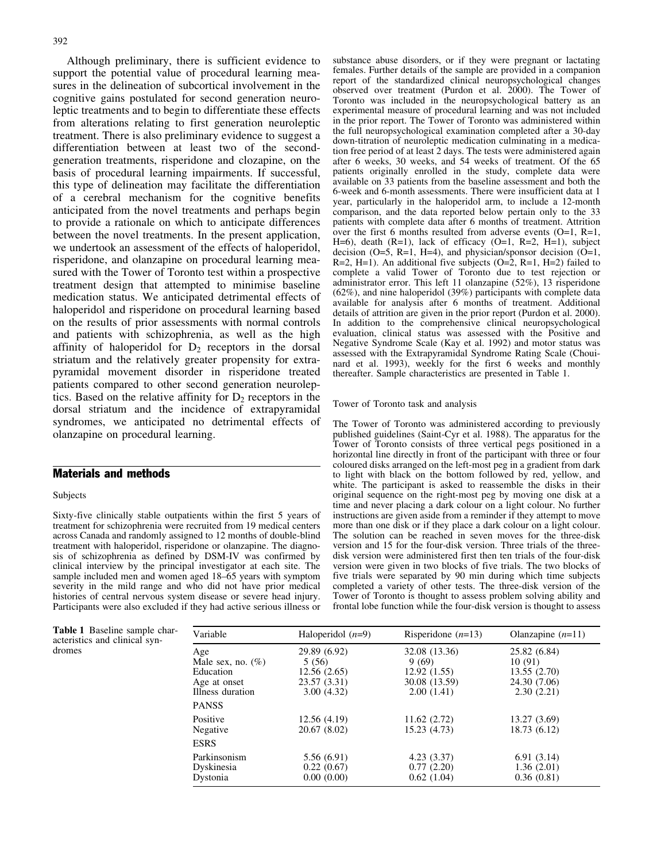Although preliminary, there is sufficient evidence to support the potential value of procedural learning measures in the delineation of subcortical involvement in the cognitive gains postulated for second generation neuroleptic treatments and to begin to differentiate these effects from alterations relating to first generation neuroleptic treatment. There is also preliminary evidence to suggest a differentiation between at least two of the secondgeneration treatments, risperidone and clozapine, on the basis of procedural learning impairments. If successful, this type of delineation may facilitate the differentiation of a cerebral mechanism for the cognitive benefits anticipated from the novel treatments and perhaps begin to provide a rationale on which to anticipate differences between the novel treatments. In the present application, we undertook an assessment of the effects of haloperidol, risperidone, and olanzapine on procedural learning measured with the Tower of Toronto test within a prospective treatment design that attempted to minimise baseline medication status. We anticipated detrimental effects of haloperidol and risperidone on procedural learning based on the results of prior assessments with normal controls and patients with schizophrenia, as well as the high affinity of haloperidol for  $D_2$  receptors in the dorsal striatum and the relatively greater propensity for extrapyramidal movement disorder in risperidone treated patients compared to other second generation neuroleptics. Based on the relative affinity for  $D_2$  receptors in the dorsal striatum and the incidence of extrapyramidal syndromes, we anticipated no detrimental effects of olanzapine on procedural learning.

## Materials and methods

#### Subjects

Sixty-five clinically stable outpatients within the first 5 years of treatment for schizophrenia were recruited from 19 medical centers across Canada and randomly assigned to 12 months of double-blind treatment with haloperidol, risperidone or olanzapine. The diagnosis of schizophrenia as defined by DSM-IV was confirmed by clinical interview by the principal investigator at each site. The sample included men and women aged 18–65 years with symptom severity in the mild range and who did not have prior medical histories of central nervous system disease or severe head injury. Participants were also excluded if they had active serious illness or

substance abuse disorders, or if they were pregnant or lactating females. Further details of the sample are provided in a companion report of the standardized clinical neuropsychological changes observed over treatment (Purdon et al. 2000). The Tower of Toronto was included in the neuropsychological battery as an experimental measure of procedural learning and was not included in the prior report. The Tower of Toronto was administered within the full neuropsychological examination completed after a 30-day down-titration of neuroleptic medication culminating in a medication free period of at least 2 days. The tests were administered again after 6 weeks, 30 weeks, and 54 weeks of treatment. Of the 65 patients originally enrolled in the study, complete data were available on 33 patients from the baseline assessment and both the 6-week and 6-month assessments. There were insufficient data at 1 year, particularly in the haloperidol arm, to include a 12-month comparison, and the data reported below pertain only to the 33 patients with complete data after 6 months of treatment. Attrition over the first 6 months resulted from adverse events (O=1, R=1, H=6), death (R=1), lack of efficacy (O=1, R=2, H=1), subject decision  $(O=5, R=1, H=4)$ , and physician/sponsor decision  $(O=1,$ R=2, H=1). An additional five subjects (O=2, R=1, H=2) failed to complete a valid Tower of Toronto due to test rejection or administrator error. This left 11 olanzapine (52%), 13 risperidone (62%), and nine haloperidol (39%) participants with complete data available for analysis after 6 months of treatment. Additional details of attrition are given in the prior report (Purdon et al. 2000). In addition to the comprehensive clinical neuropsychological evaluation, clinical status was assessed with the Positive and Negative Syndrome Scale (Kay et al. 1992) and motor status was assessed with the Extrapyramidal Syndrome Rating Scale (Chouinard et al. 1993), weekly for the first 6 weeks and monthly thereafter. Sample characteristics are presented in Table 1.

#### Tower of Toronto task and analysis

The Tower of Toronto was administered according to previously published guidelines (Saint-Cyr et al. 1988). The apparatus for the Tower of Toronto consists of three vertical pegs positioned in a horizontal line directly in front of the participant with three or four coloured disks arranged on the left-most peg in a gradient from dark to light with black on the bottom followed by red, yellow, and white. The participant is asked to reassemble the disks in their original sequence on the right-most peg by moving one disk at a time and never placing a dark colour on a light colour. No further instructions are given aside from a reminder if they attempt to move more than one disk or if they place a dark colour on a light colour. The solution can be reached in seven moves for the three-disk version and 15 for the four-disk version. Three trials of the threedisk version were administered first then ten trials of the four-disk version were given in two blocks of five trials. The two blocks of five trials were separated by 90 min during which time subjects completed a variety of other tests. The three-disk version of the Tower of Toronto is thought to assess problem solving ability and frontal lobe function while the four-disk version is thought to assess

| Variable                                                            | Haloperidol $(n=9)$                        | Risperidone $(n=13)$                      | Olanzapine $(n=11)$                        |
|---------------------------------------------------------------------|--------------------------------------------|-------------------------------------------|--------------------------------------------|
| Age                                                                 | 29.89 (6.92)                               | 32.08 (13.36)                             | 25.82 (6.84)                               |
| Male sex, no. $(\%)$                                                | 5(56)                                      | 9(69)                                     | 10(91)                                     |
| Education                                                           | 12.56(2.65)                                | 12.92(1.55)                               | 13.55(2.70)                                |
| Age at onset                                                        | 23.57 (3.31)                               | 30.08 (13.59)                             | 24.30 (7.06)                               |
| Illness duration                                                    | 3.00(4.32)                                 | 2.00(1.41)                                | 2.30(2.21)                                 |
| <b>PANSS</b><br>Positive<br>Negative<br><b>ESRS</b><br>Parkinsonism | 12.56(4.19)<br>20.67 (8.02)<br>5.56 (6.91) | 11.62(2.72)<br>15.23 (4.73)<br>4.23(3.37) | 13.27 (3.69)<br>18.73 (6.12)<br>6.91(3.14) |
| Dyskinesia                                                          | 0.22(0.67)                                 | 0.77(2.20)                                | 1.36(2.01)                                 |
| Dystonia                                                            | 0.00(0.00)                                 | 0.62(1.04)                                | 0.36(0.81)                                 |

Table 1 Baseline sample characteristics and clinical syndromes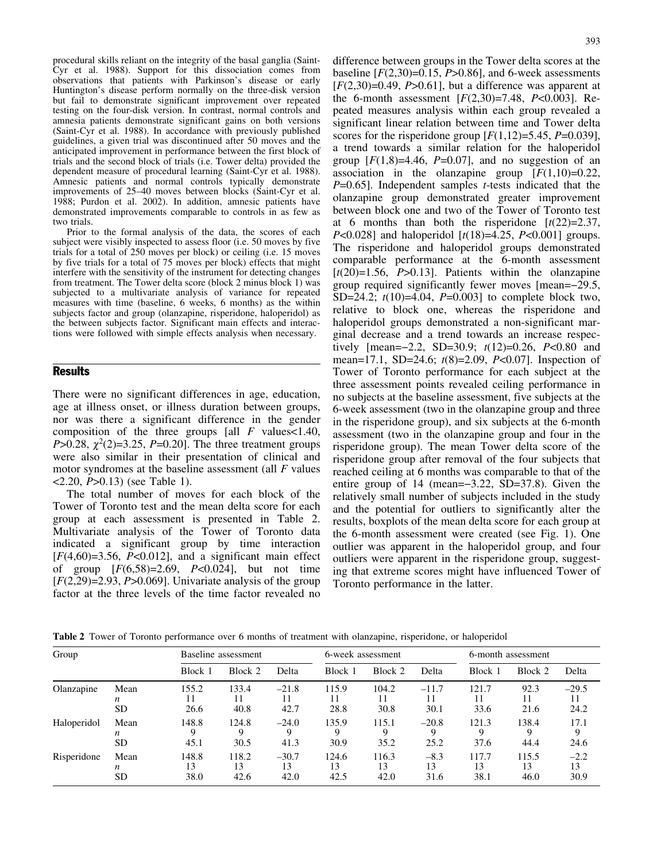procedural skills reliant on the integrity of the basal ganglia (Saint-Cyr et al. 1988). Support for this dissociation comes from observations that patients with Parkinson's disease or early Huntington's disease perform normally on the three-disk version but fail to demonstrate significant improvement over repeated testing on the four-disk version. In contrast, normal controls and amnesia patients demonstrate significant gains on both versions (Saint-Cyr et al. 1988). In accordance with previously published guidelines, a given trial was discontinued after 50 moves and the anticipated improvement in performance between the first block of trials and the second block of trials (i.e. Tower delta) provided the dependent measure of procedural learning (Saint-Cyr et al. 1988). Amnesic patients and normal controls typically demonstrate improvements of 25–40 moves between blocks (Saint-Cyr et al. 1988; Purdon et al. 2002). In addition, amnesic patients have demonstrated improvements comparable to controls in as few as two trials.

Prior to the formal analysis of the data, the scores of each subject were visibly inspected to assess floor (i.e. 50 moves by five trials for a total of 250 moves per block) or ceiling (i.e. 15 moves by five trials for a total of 75 moves per block) effects that might interfere with the sensitivity of the instrument for detecting changes from treatment. The Tower delta score (block 2 minus block 1) was subjected to a multivariate analysis of variance for repeated measures with time (baseline, 6 weeks, 6 months) as the within subjects factor and group (olanzapine, risperidone, haloperidol) as the between subjects factor. Significant main effects and interactions were followed with simple effects analysis when necessary.

## **Results**

There were no significant differences in age, education, age at illness onset, or illness duration between groups, nor was there a significant difference in the gender composition of the three groups [all  $F$  values < 1.40, P>0.28,  $\chi^2(2)=3.25$ , P=0.20]. The three treatment groups were also similar in their presentation of clinical and motor syndromes at the baseline assessment (all  $F$  values <2.20, P>0.13) (see Table 1).

The total number of moves for each block of the Tower of Toronto test and the mean delta score for each group at each assessment is presented in Table 2. Multivariate analysis of the Tower of Toronto data indicated a significant group by time interaction  $[F(4,60)=3.56, P<0.012]$ , and a significant main effect of group  $[F(6,58)=2.69, P<0.024]$ , but not time  $[F(2,29)=2.93, P>0.069]$ . Univariate analysis of the group factor at the three levels of the time factor revealed no

difference between groups in the Tower delta scores at the baseline  $[F(2,30)=0.15, P>0.86]$ , and 6-week assessments  $[F(2,30)=0.49, P>0.61]$ , but a difference was apparent at the 6-month assessment  $[F(2,30)=7.48, P<0.003]$ . Repeated measures analysis within each group revealed a significant linear relation between time and Tower delta scores for the risperidone group  $[F(1,12)=5.45, P=0.039]$ , a trend towards a similar relation for the haloperidol group  $[F(1,8)=4.46, P=0.07]$ , and no suggestion of an association in the olanzapine group  $[F(1,10)=0.22]$ ,  $P=0.65$ ]. Independent samples *t*-tests indicated that the olanzapine group demonstrated greater improvement between block one and two of the Tower of Toronto test at 6 months than both the risperidone  $[t(22)=2.37]$ ,  $P<0.028$ ] and haloperidol  $[t(18)=4.25, P<0.001]$  groups. The risperidone and haloperidol groups demonstrated comparable performance at the 6-month assessment  $[t(20)=1.56, P>0.13]$ . Patients within the olanzapine group required significantly fewer moves [mean=29.5, SD=24.2;  $t(10)=4.04$ ,  $P=0.003$ ] to complete block two, relative to block one, whereas the risperidone and haloperidol groups demonstrated a non-significant marginal decrease and a trend towards an increase respectively [mean= $-2.2$ , SD=30.9;  $t(12)=0.26$ , P<0.80 and mean=17.1, SD=24.6; t(8)=2.09, P<0.07]. Inspection of Tower of Toronto performance for each subject at the three assessment points revealed ceiling performance in no subjects at the baseline assessment, five subjects at the 6-week assessment (two in the olanzapine group and three in the risperidone group), and six subjects at the 6-month assessment (two in the olanzapine group and four in the risperidone group). The mean Tower delta score of the risperidone group after removal of the four subjects that reached ceiling at 6 months was comparable to that of the entire group of 14 (mean=-3.22, SD=37.8). Given the relatively small number of subjects included in the study and the potential for outliers to significantly alter the results, boxplots of the mean delta score for each group at the 6-month assessment were created (see Fig. 1). One outlier was apparent in the haloperidol group, and four outliers were apparent in the risperidone group, suggesting that extreme scores might have influenced Tower of Toronto performance in the latter.

Table 2 Tower of Toronto performance over 6 months of treatment with olanzapine, risperidone, or haloperidol

| Group       |                        | Baseline assessment |                     | 6-week assessment     |                     | 6-month assessment  |                      |                     |                     |                       |
|-------------|------------------------|---------------------|---------------------|-----------------------|---------------------|---------------------|----------------------|---------------------|---------------------|-----------------------|
|             |                        | Block 1             | Block 2             | Delta                 | Block 1             | Block 2             | Delta                | Block 1             | Block 2             | Delta                 |
| Olanzapine  | Mean<br>n<br><b>SD</b> | 155.2<br>26.6       | 133.4<br>11<br>40.8 | $-21.8$<br>42.7       | 115.9<br>11<br>28.8 | 104.2<br>11<br>30.8 | $-11.7$<br>30.1      | 121.7<br>11<br>33.6 | 92.3<br>21.6        | $-29.5$<br>11<br>24.2 |
| Haloperidol | Mean<br>n<br><b>SD</b> | 148.8<br>45.1       | 124.8<br>9<br>30.5  | $-24.0$<br>9<br>41.3  | 135.9<br>30.9       | 115.1<br>Q<br>35.2  | $-20.8$<br>9<br>25.2 | 121.3<br>9<br>37.6  | 138.4<br>9<br>44.4  | 17.1<br>9<br>24.6     |
| Risperidone | Mean<br>n<br><b>SD</b> | 148.8<br>13<br>38.0 | 118.2<br>13<br>42.6 | $-30.7$<br>13<br>42.0 | 124.6<br>13<br>42.5 | 116.3<br>13<br>42.0 | $-8.3$<br>13<br>31.6 | 117.7<br>13<br>38.1 | 115.5<br>13<br>46.0 | $-2.2$<br>13<br>30.9  |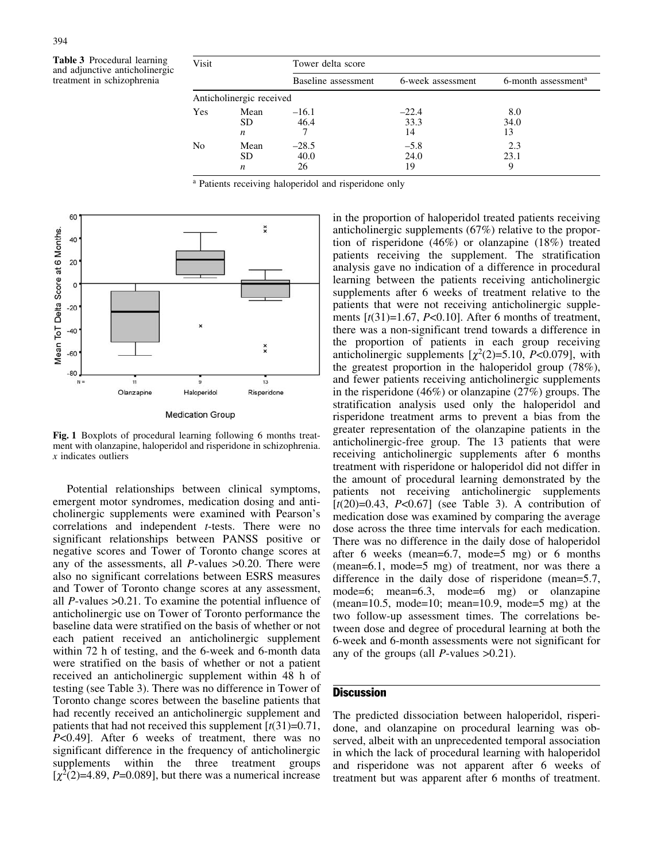Table 3 Procedural learning and adjunctive anticholinergic treatment in schizophrenia

| Visit |                                       | Tower delta score     |                       |                                 |  |  |
|-------|---------------------------------------|-----------------------|-----------------------|---------------------------------|--|--|
|       |                                       | Baseline assessment   | 6-week assessment     | 6-month assessment <sup>a</sup> |  |  |
|       | Anticholinergic received              |                       |                       |                                 |  |  |
| Yes   | Mean<br><b>SD</b><br>$\boldsymbol{n}$ | $-16.1$<br>46.4       | $-22.4$<br>33.3<br>14 | 8.0<br>34.0<br>13               |  |  |
| No    | Mean<br><b>SD</b><br>$\boldsymbol{n}$ | $-28.5$<br>40.0<br>26 | $-5.8$<br>24.0<br>19  | 2.3<br>23.1                     |  |  |

<sup>a</sup> Patients receiving haloperidol and risperidone only



**Medication Group** 

Fig. 1 Boxplots of procedural learning following 6 months treatment with olanzapine, haloperidol and risperidone in schizophrenia.  $x$  indicates outliers

Potential relationships between clinical symptoms, emergent motor syndromes, medication dosing and anticholinergic supplements were examined with Pearson's correlations and independent t-tests. There were no significant relationships between PANSS positive or negative scores and Tower of Toronto change scores at any of the assessments, all  $P$ -values  $>0.20$ . There were also no significant correlations between ESRS measures and Tower of Toronto change scores at any assessment, all P-values >0.21. To examine the potential influence of anticholinergic use on Tower of Toronto performance the baseline data were stratified on the basis of whether or not each patient received an anticholinergic supplement within 72 h of testing, and the 6-week and 6-month data were stratified on the basis of whether or not a patient received an anticholinergic supplement within 48 h of testing (see Table 3). There was no difference in Tower of Toronto change scores between the baseline patients that had recently received an anticholinergic supplement and patients that had not received this supplement  $[t(31)=0.71]$ , P<0.49]. After 6 weeks of treatment, there was no significant difference in the frequency of anticholinergic supplements within the three treatment groups  $[\chi^2(2)=4.89, P=0.089]$ , but there was a numerical increase

in the proportion of haloperidol treated patients receiving anticholinergic supplements (67%) relative to the proportion of risperidone (46%) or olanzapine (18%) treated patients receiving the supplement. The stratification analysis gave no indication of a difference in procedural learning between the patients receiving anticholinergic supplements after 6 weeks of treatment relative to the patients that were not receiving anticholinergic supplements  $[t(31)=1.67, P<0.10]$ . After 6 months of treatment, there was a non-significant trend towards a difference in the proportion of patients in each group receiving anticholinergic supplements  $[\chi^2(2)=5.10, P<0.079]$ , with the greatest proportion in the haloperidol group (78%), and fewer patients receiving anticholinergic supplements in the risperidone (46%) or olanzapine (27%) groups. The stratification analysis used only the haloperidol and risperidone treatment arms to prevent a bias from the greater representation of the olanzapine patients in the anticholinergic-free group. The 13 patients that were receiving anticholinergic supplements after 6 months treatment with risperidone or haloperidol did not differ in the amount of procedural learning demonstrated by the patients not receiving anticholinergic supplements  $[t(20)=0.43, P<0.67]$  (see Table 3). A contribution of medication dose was examined by comparing the average dose across the three time intervals for each medication. There was no difference in the daily dose of haloperidol after 6 weeks (mean=6.7, mode=5 mg) or 6 months (mean=6.1, mode=5 mg) of treatment, nor was there a difference in the daily dose of risperidone (mean=5.7, mode=6; mean=6.3, mode=6 mg) or olanzapine  $(\text{mean}=10.5, \text{ mode}=10; \text{ mean}=10.9, \text{ mode}=5 \text{ mg})$  at the two follow-up assessment times. The correlations between dose and degree of procedural learning at both the 6-week and 6-month assessments were not significant for any of the groups (all  $P$ -values  $>0.21$ ).

# **Discussion**

The predicted dissociation between haloperidol, risperidone, and olanzapine on procedural learning was observed, albeit with an unprecedented temporal association in which the lack of procedural learning with haloperidol and risperidone was not apparent after 6 weeks of treatment but was apparent after 6 months of treatment.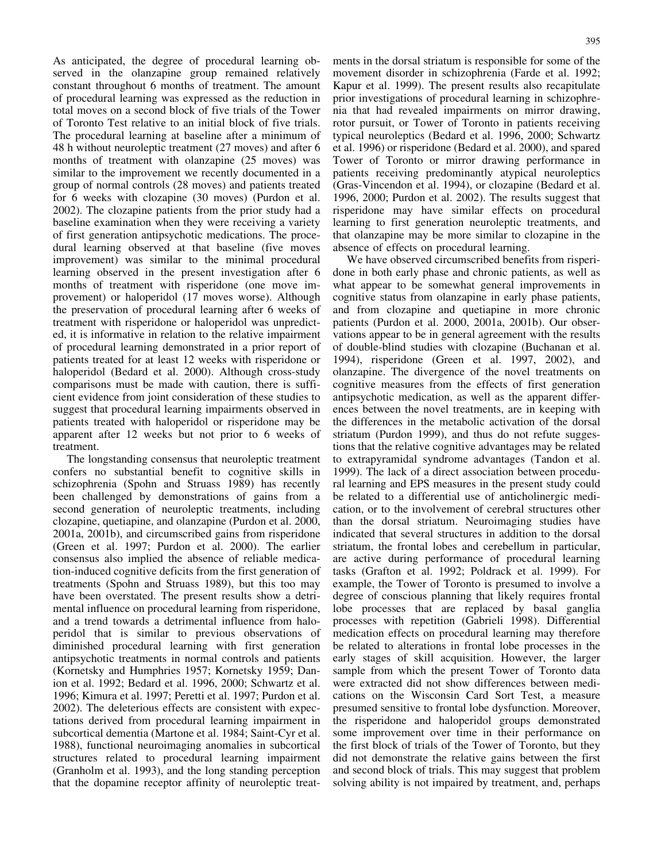As anticipated, the degree of procedural learning observed in the olanzapine group remained relatively constant throughout 6 months of treatment. The amount of procedural learning was expressed as the reduction in total moves on a second block of five trials of the Tower of Toronto Test relative to an initial block of five trials. The procedural learning at baseline after a minimum of 48 h without neuroleptic treatment (27 moves) and after 6 months of treatment with olanzapine (25 moves) was similar to the improvement we recently documented in a group of normal controls (28 moves) and patients treated for 6 weeks with clozapine (30 moves) (Purdon et al. 2002). The clozapine patients from the prior study had a baseline examination when they were receiving a variety of first generation antipsychotic medications. The procedural learning observed at that baseline (five moves improvement) was similar to the minimal procedural learning observed in the present investigation after 6 months of treatment with risperidone (one move improvement) or haloperidol (17 moves worse). Although the preservation of procedural learning after 6 weeks of treatment with risperidone or haloperidol was unpredicted, it is informative in relation to the relative impairment of procedural learning demonstrated in a prior report of patients treated for at least 12 weeks with risperidone or haloperidol (Bedard et al. 2000). Although cross-study comparisons must be made with caution, there is sufficient evidence from joint consideration of these studies to suggest that procedural learning impairments observed in patients treated with haloperidol or risperidone may be apparent after 12 weeks but not prior to 6 weeks of treatment.

The longstanding consensus that neuroleptic treatment confers no substantial benefit to cognitive skills in schizophrenia (Spohn and Struass 1989) has recently been challenged by demonstrations of gains from a second generation of neuroleptic treatments, including clozapine, quetiapine, and olanzapine (Purdon et al. 2000, 2001a, 2001b), and circumscribed gains from risperidone (Green et al. 1997; Purdon et al. 2000). The earlier consensus also implied the absence of reliable medication-induced cognitive deficits from the first generation of treatments (Spohn and Struass 1989), but this too may have been overstated. The present results show a detrimental influence on procedural learning from risperidone, and a trend towards a detrimental influence from haloperidol that is similar to previous observations of diminished procedural learning with first generation antipsychotic treatments in normal controls and patients (Kornetsky and Humphries 1957; Kornetsky 1959; Danion et al. 1992; Bedard et al. 1996, 2000; Schwartz et al. 1996; Kimura et al. 1997; Peretti et al. 1997; Purdon et al. 2002). The deleterious effects are consistent with expectations derived from procedural learning impairment in subcortical dementia (Martone et al. 1984; Saint-Cyr et al. 1988), functional neuroimaging anomalies in subcortical structures related to procedural learning impairment (Granholm et al. 1993), and the long standing perception that the dopamine receptor affinity of neuroleptic treatments in the dorsal striatum is responsible for some of the movement disorder in schizophrenia (Farde et al. 1992; Kapur et al. 1999). The present results also recapitulate prior investigations of procedural learning in schizophrenia that had revealed impairments on mirror drawing, rotor pursuit, or Tower of Toronto in patients receiving typical neuroleptics (Bedard et al. 1996, 2000; Schwartz et al. 1996) or risperidone (Bedard et al. 2000), and spared Tower of Toronto or mirror drawing performance in patients receiving predominantly atypical neuroleptics (Gras-Vincendon et al. 1994), or clozapine (Bedard et al. 1996, 2000; Purdon et al. 2002). The results suggest that risperidone may have similar effects on procedural learning to first generation neuroleptic treatments, and that olanzapine may be more similar to clozapine in the absence of effects on procedural learning.

We have observed circumscribed benefits from risperidone in both early phase and chronic patients, as well as what appear to be somewhat general improvements in cognitive status from olanzapine in early phase patients, and from clozapine and quetiapine in more chronic patients (Purdon et al. 2000, 2001a, 2001b). Our observations appear to be in general agreement with the results of double-blind studies with clozapine (Buchanan et al. 1994), risperidone (Green et al. 1997, 2002), and olanzapine. The divergence of the novel treatments on cognitive measures from the effects of first generation antipsychotic medication, as well as the apparent differences between the novel treatments, are in keeping with the differences in the metabolic activation of the dorsal striatum (Purdon 1999), and thus do not refute suggestions that the relative cognitive advantages may be related to extrapyramidal syndrome advantages (Tandon et al. 1999). The lack of a direct association between procedural learning and EPS measures in the present study could be related to a differential use of anticholinergic medication, or to the involvement of cerebral structures other than the dorsal striatum. Neuroimaging studies have indicated that several structures in addition to the dorsal striatum, the frontal lobes and cerebellum in particular, are active during performance of procedural learning tasks (Grafton et al. 1992; Poldrack et al. 1999). For example, the Tower of Toronto is presumed to involve a degree of conscious planning that likely requires frontal lobe processes that are replaced by basal ganglia processes with repetition (Gabrieli 1998). Differential medication effects on procedural learning may therefore be related to alterations in frontal lobe processes in the early stages of skill acquisition. However, the larger sample from which the present Tower of Toronto data were extracted did not show differences between medications on the Wisconsin Card Sort Test, a measure presumed sensitive to frontal lobe dysfunction. Moreover, the risperidone and haloperidol groups demonstrated some improvement over time in their performance on the first block of trials of the Tower of Toronto, but they did not demonstrate the relative gains between the first and second block of trials. This may suggest that problem solving ability is not impaired by treatment, and, perhaps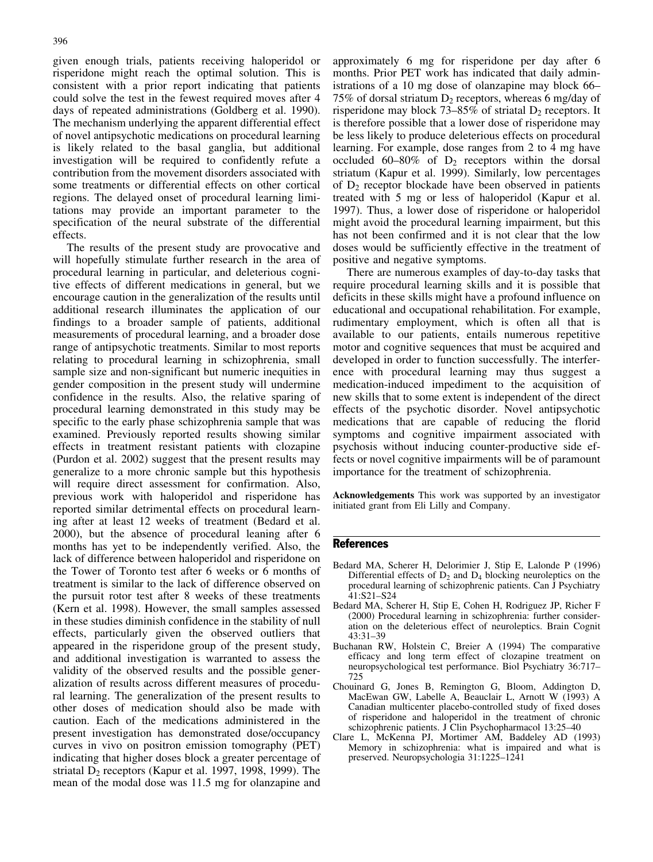given enough trials, patients receiving haloperidol or risperidone might reach the optimal solution. This is consistent with a prior report indicating that patients could solve the test in the fewest required moves after 4 days of repeated administrations (Goldberg et al. 1990). The mechanism underlying the apparent differential effect of novel antipsychotic medications on procedural learning is likely related to the basal ganglia, but additional investigation will be required to confidently refute a contribution from the movement disorders associated with some treatments or differential effects on other cortical regions. The delayed onset of procedural learning limitations may provide an important parameter to the specification of the neural substrate of the differential effects.

The results of the present study are provocative and will hopefully stimulate further research in the area of procedural learning in particular, and deleterious cognitive effects of different medications in general, but we encourage caution in the generalization of the results until additional research illuminates the application of our findings to a broader sample of patients, additional measurements of procedural learning, and a broader dose range of antipsychotic treatments. Similar to most reports relating to procedural learning in schizophrenia, small sample size and non-significant but numeric inequities in gender composition in the present study will undermine confidence in the results. Also, the relative sparing of procedural learning demonstrated in this study may be specific to the early phase schizophrenia sample that was examined. Previously reported results showing similar effects in treatment resistant patients with clozapine (Purdon et al. 2002) suggest that the present results may generalize to a more chronic sample but this hypothesis will require direct assessment for confirmation. Also, previous work with haloperidol and risperidone has reported similar detrimental effects on procedural learning after at least 12 weeks of treatment (Bedard et al. 2000), but the absence of procedural leaning after 6 months has yet to be independently verified. Also, the lack of difference between haloperidol and risperidone on the Tower of Toronto test after 6 weeks or 6 months of treatment is similar to the lack of difference observed on the pursuit rotor test after 8 weeks of these treatments (Kern et al. 1998). However, the small samples assessed in these studies diminish confidence in the stability of null effects, particularly given the observed outliers that appeared in the risperidone group of the present study, and additional investigation is warranted to assess the validity of the observed results and the possible generalization of results across different measures of procedural learning. The generalization of the present results to other doses of medication should also be made with caution. Each of the medications administered in the present investigation has demonstrated dose/occupancy curves in vivo on positron emission tomography (PET) indicating that higher doses block a greater percentage of striatal  $D_2$  receptors (Kapur et al. 1997, 1998, 1999). The mean of the modal dose was 11.5 mg for olanzapine and approximately 6 mg for risperidone per day after 6 months. Prior PET work has indicated that daily administrations of a 10 mg dose of olanzapine may block 66– 75% of dorsal striatum  $D_2$  receptors, whereas 6 mg/day of risperidone may block 73–85% of striatal  $D_2$  receptors. It is therefore possible that a lower dose of risperidone may be less likely to produce deleterious effects on procedural learning. For example, dose ranges from 2 to 4 mg have occluded 60–80% of  $D_2$  receptors within the dorsal striatum (Kapur et al. 1999). Similarly, low percentages of  $D_2$  receptor blockade have been observed in patients treated with 5 mg or less of haloperidol (Kapur et al. 1997). Thus, a lower dose of risperidone or haloperidol might avoid the procedural learning impairment, but this has not been confirmed and it is not clear that the low doses would be sufficiently effective in the treatment of positive and negative symptoms.

There are numerous examples of day-to-day tasks that require procedural learning skills and it is possible that deficits in these skills might have a profound influence on educational and occupational rehabilitation. For example, rudimentary employment, which is often all that is available to our patients, entails numerous repetitive motor and cognitive sequences that must be acquired and developed in order to function successfully. The interference with procedural learning may thus suggest a medication-induced impediment to the acquisition of new skills that to some extent is independent of the direct effects of the psychotic disorder. Novel antipsychotic medications that are capable of reducing the florid symptoms and cognitive impairment associated with psychosis without inducing counter-productive side effects or novel cognitive impairments will be of paramount importance for the treatment of schizophrenia.

Acknowledgements This work was supported by an investigator initiated grant from Eli Lilly and Company.

## References

- Bedard MA, Scherer H, Delorimier J, Stip E, Lalonde P (1996) Differential effects of  $D_2$  and  $D_4$  blocking neuroleptics on the procedural learning of schizophrenic patients. Can J Psychiatry 41:S21–S24
- Bedard MA, Scherer H, Stip E, Cohen H, Rodriguez JP, Richer F (2000) Procedural learning in schizophrenia: further consideration on the deleterious effect of neuroleptics. Brain Cognit 43:31–39
- Buchanan RW, Holstein C, Breier A (1994) The comparative efficacy and long term effect of clozapine treatment on neuropsychological test performance. Biol Psychiatry 36:717– 725
- Chouinard G, Jones B, Remington G, Bloom, Addington D, MacEwan GW, Labelle A, Beauclair L, Arnott W (1993) A Canadian multicenter placebo-controlled study of fixed doses of risperidone and haloperidol in the treatment of chronic schizophrenic patients. J Clin Psychopharmacol 13:25–40
- Clare L, McKenna PJ, Mortimer AM, Baddeley AD (1993) Memory in schizophrenia: what is impaired and what is preserved. Neuropsychologia 31:1225–1241